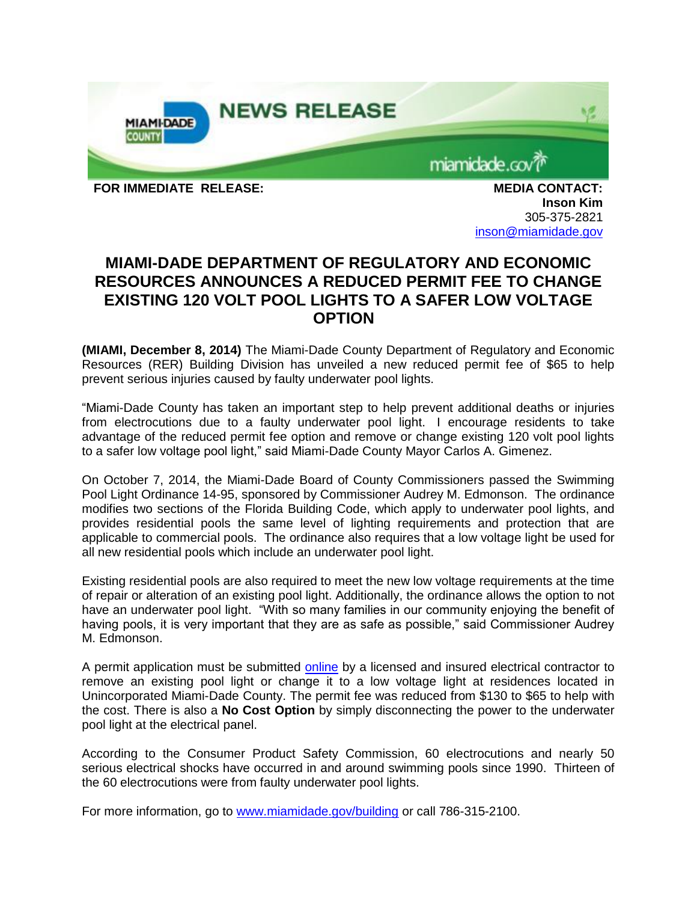

**Inson Kim** 305-375-2821 [inson@miamidade.gov](mailto:inson@miamidade.gov)

## **MIAMI-DADE DEPARTMENT OF REGULATORY AND ECONOMIC RESOURCES ANNOUNCES A REDUCED PERMIT FEE TO CHANGE EXISTING 120 VOLT POOL LIGHTS TO A SAFER LOW VOLTAGE OPTION**

**(MIAMI, December 8, 2014)** The Miami-Dade County Department of Regulatory and Economic Resources (RER) Building Division has unveiled a new reduced permit fee of \$65 to help prevent serious injuries caused by faulty underwater pool lights.

"Miami-Dade County has taken an important step to help prevent additional deaths or injuries from electrocutions due to a faulty underwater pool light. I encourage residents to take advantage of the reduced permit fee option and remove or change existing 120 volt pool lights to a safer low voltage pool light," said Miami-Dade County Mayor Carlos A. Gimenez.

On October 7, 2014, the Miami-Dade Board of County Commissioners passed the Swimming Pool Light Ordinance 14-95, sponsored by Commissioner Audrey M. Edmonson. The ordinance modifies two sections of the Florida Building Code, which apply to underwater pool lights, and provides residential pools the same level of lighting requirements and protection that are applicable to commercial pools. The ordinance also requires that a low voltage light be used for all new residential pools which include an underwater pool light.

Existing residential pools are also required to meet the new low voltage requirements at the time of repair or alteration of an existing pool light. Additionally, the ordinance allows the option to not have an underwater pool light. "With so many families in our community enjoying the benefit of having pools, it is very important that they are as safe as possible," said Commissioner Audrey M. Edmonson.

A permit application must be submitted [online](http://www.miamidade.gov/permits/e-permitting.asp) by a licensed and insured electrical contractor to remove an existing pool light or change it to a low voltage light at residences located in Unincorporated Miami-Dade County. The permit fee was reduced from \$130 to \$65 to help with the cost. There is also a **No Cost Option** by simply disconnecting the power to the underwater pool light at the electrical panel.

According to the Consumer Product Safety Commission, 60 electrocutions and nearly 50 serious electrical shocks have occurred in and around swimming pools since 1990. Thirteen of the 60 electrocutions were from faulty underwater pool lights.

For more information, go to [www.miamidade.gov/building](http://www.miamidade.gov/building) or call 786-315-2100.